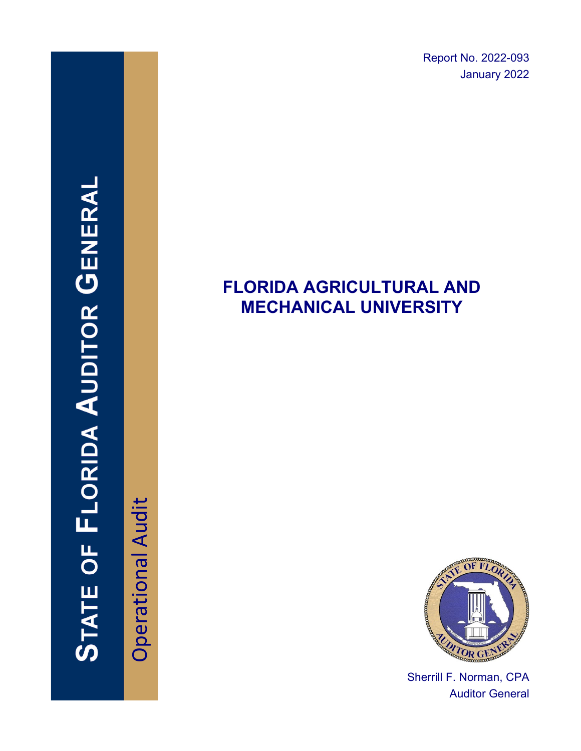Report No. 2022-093 January 2022

# **FLORIDA AGRICULTURAL AND MECHANICAL UNIVERSITY**



Sherrill F. Norman, CPA Auditor General

Operational Audit **Operational Audit**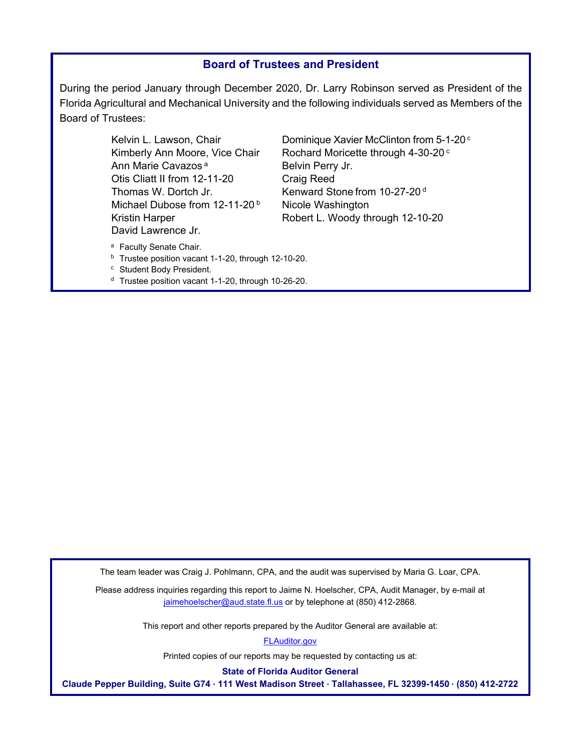#### **Board of Trustees and President**

During the period January through December 2020, Dr. Larry Robinson served as President of the Florida Agricultural and Mechanical University and the following individuals served as Members of the Board of Trustees:

> Ann Marie Cavazos<sup>a</sup> Belvin Perry Jr. Otis Cliatt II from 12-11-20 Craig Reed Thomas W. Dortch Jr. Kenward Stone from 10-27-20<sup>d</sup> Michael Dubose from  $12-11-20<sup>b</sup>$  Nicole Washington David Lawrence Jr.

Kelvin L. Lawson, Chair **Dominique Xavier McClinton from 5-1-20**<sup>c</sup> Kimberly Ann Moore, Vice Chair Rochard Moricette through  $4-30-20$  c Kristin Harper **Robert L. Woody through 12-10-20** 

- <sup>a</sup> Faculty Senate Chair.<br><sup>b</sup> Trustee position vacant 1-1-20, through 12-10-20.
- c Student Body President.
- d Trustee position vacant 1-1-20, through 10-26-20.

The team leader was Craig J. Pohlmann, CPA, and the audit was supervised by Maria G. Loar, CPA.

Please address inquiries regarding this report to Jaime N. Hoelscher, CPA, Audit Manager, by e-mail at jaimehoelscher@aud.state.fl.us or by telephone at (850) 412-2868.

This report and other reports prepared by the Auditor General are available at:

[FLAuditor.gov](http://flauditor.gov/) 

Printed copies of our reports may be requested by contacting us at:

**State of Florida Auditor General** 

**Claude Pepper Building, Suite G74 ∙ 111 West Madison Street ∙ Tallahassee, FL 32399-1450 ∙ (850) 412-2722**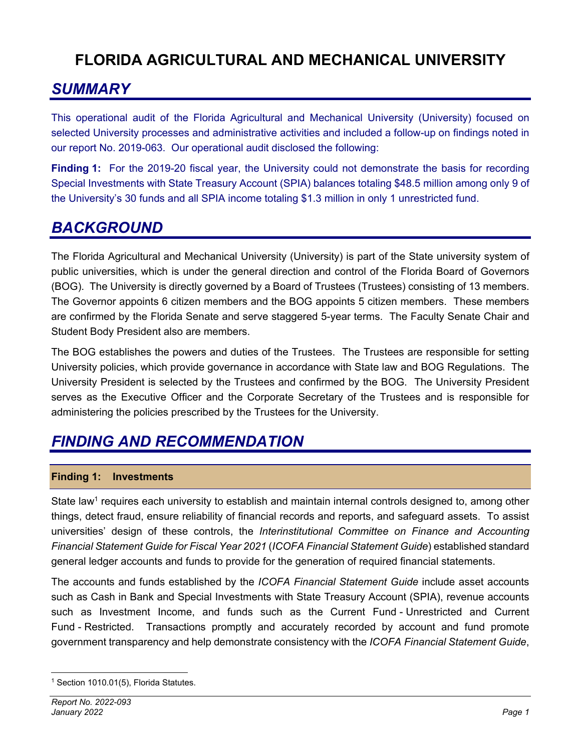## **FLORIDA AGRICULTURAL AND MECHANICAL UNIVERSITY**

## *SUMMARY*

This operational audit of the Florida Agricultural and Mechanical University (University) focused on selected University processes and administrative activities and included a follow-up on findings noted in our report No. 2019-063. Our operational audit disclosed the following:

**Finding 1:** For the 2019-20 fiscal year, the University could not demonstrate the basis for recording Special Investments with State Treasury Account (SPIA) balances totaling \$48.5 million among only 9 of the University's 30 funds and all SPIA income totaling \$1.3 million in only 1 unrestricted fund.

### *BACKGROUND*

The Florida Agricultural and Mechanical University (University) is part of the State university system of public universities, which is under the general direction and control of the Florida Board of Governors (BOG). The University is directly governed by a Board of Trustees (Trustees) consisting of 13 members. The Governor appoints 6 citizen members and the BOG appoints 5 citizen members. These members are confirmed by the Florida Senate and serve staggered 5-year terms. The Faculty Senate Chair and Student Body President also are members.

The BOG establishes the powers and duties of the Trustees. The Trustees are responsible for setting University policies, which provide governance in accordance with State law and BOG Regulations. The University President is selected by the Trustees and confirmed by the BOG. The University President serves as the Executive Officer and the Corporate Secretary of the Trustees and is responsible for administering the policies prescribed by the Trustees for the University.

## *FINDING AND RECOMMENDATION*

#### **Finding 1: Investments**

State law<sup>1</sup> requires each university to establish and maintain internal controls designed to, among other things, detect fraud, ensure reliability of financial records and reports, and safeguard assets. To assist universities' design of these controls, the *Interinstitutional Committee on Finance and Accounting Financial Statement Guide for Fiscal Year 2021* (*ICOFA Financial Statement Guide*) established standard general ledger accounts and funds to provide for the generation of required financial statements.

The accounts and funds established by the *ICOFA Financial Statement Guide* include asset accounts such as Cash in Bank and Special Investments with State Treasury Account (SPIA), revenue accounts such as Investment Income, and funds such as the Current Fund - Unrestricted and Current Fund - Restricted. Transactions promptly and accurately recorded by account and fund promote government transparency and help demonstrate consistency with the *ICOFA Financial Statement Guide*,

<sup>&</sup>lt;sup>1</sup> Section 1010.01(5), Florida Statutes.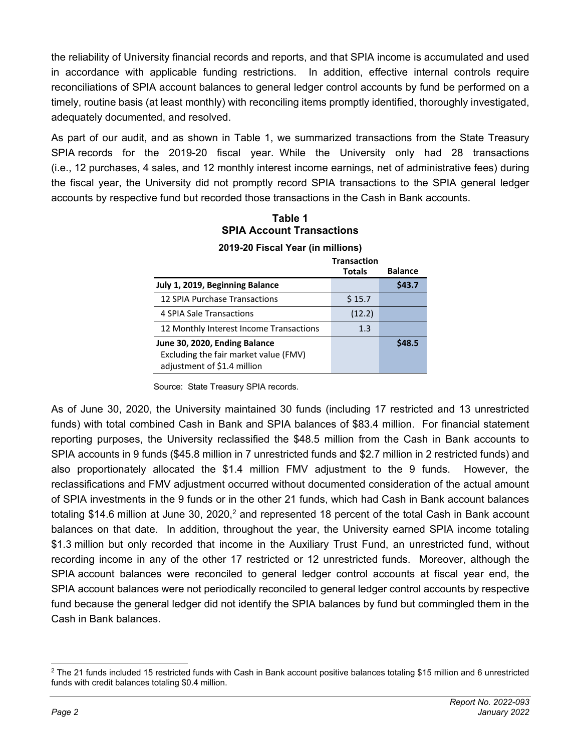the reliability of University financial records and reports, and that SPIA income is accumulated and used in accordance with applicable funding restrictions. In addition, effective internal controls require reconciliations of SPIA account balances to general ledger control accounts by fund be performed on a timely, routine basis (at least monthly) with reconciling items promptly identified, thoroughly investigated, adequately documented, and resolved.

As part of our audit, and as shown in Table 1, we summarized transactions from the State Treasury SPIA records for the 2019-20 fiscal year. While the University only had 28 transactions (i.e., 12 purchases, 4 sales, and 12 monthly interest income earnings, net of administrative fees) during the fiscal year, the University did not promptly record SPIA transactions to the SPIA general ledger accounts by respective fund but recorded those transactions in the Cash in Bank accounts.

**Table 1 SPIA Account Transactions** 

|                                         | <b>Transaction</b> |                |
|-----------------------------------------|--------------------|----------------|
|                                         | <b>Totals</b>      | <b>Balance</b> |
| July 1, 2019, Beginning Balance         |                    | \$43.7         |
| 12 SPIA Purchase Transactions           | \$15.7             |                |
| 4 SPIA Sale Transactions                | (12.2)             |                |
| 12 Monthly Interest Income Transactions | 1.3                |                |
| June 30, 2020, Ending Balance           |                    | S48.5          |
| Excluding the fair market value (FMV)   |                    |                |
| adjustment of \$1.4 million             |                    |                |

#### **2019-20 Fiscal Year (in millions)**

Source: State Treasury SPIA records.

As of June 30, 2020, the University maintained 30 funds (including 17 restricted and 13 unrestricted funds) with total combined Cash in Bank and SPIA balances of \$83.4 million. For financial statement reporting purposes, the University reclassified the \$48.5 million from the Cash in Bank accounts to SPIA accounts in 9 funds (\$45.8 million in 7 unrestricted funds and \$2.7 million in 2 restricted funds) and also proportionately allocated the \$1.4 million FMV adjustment to the 9 funds. However, the reclassifications and FMV adjustment occurred without documented consideration of the actual amount of SPIA investments in the 9 funds or in the other 21 funds, which had Cash in Bank account balances totaling \$14.6 million at June 30, 2020,<sup>2</sup> and represented 18 percent of the total Cash in Bank account balances on that date. In addition, throughout the year, the University earned SPIA income totaling \$1.3 million but only recorded that income in the Auxiliary Trust Fund, an unrestricted fund, without recording income in any of the other 17 restricted or 12 unrestricted funds. Moreover, although the SPIA account balances were reconciled to general ledger control accounts at fiscal year end, the SPIA account balances were not periodically reconciled to general ledger control accounts by respective fund because the general ledger did not identify the SPIA balances by fund but commingled them in the Cash in Bank balances.

<sup>2</sup> The 21 funds included 15 restricted funds with Cash in Bank account positive balances totaling \$15 million and 6 unrestricted funds with credit balances totaling \$0.4 million.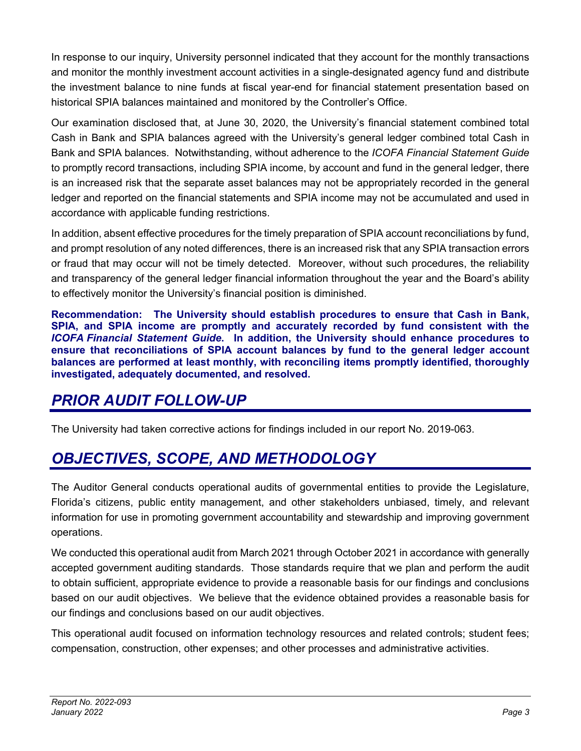In response to our inquiry, University personnel indicated that they account for the monthly transactions and monitor the monthly investment account activities in a single-designated agency fund and distribute the investment balance to nine funds at fiscal year-end for financial statement presentation based on historical SPIA balances maintained and monitored by the Controller's Office.

Our examination disclosed that, at June 30, 2020, the University's financial statement combined total Cash in Bank and SPIA balances agreed with the University's general ledger combined total Cash in Bank and SPIA balances. Notwithstanding, without adherence to the *ICOFA Financial Statement Guide* to promptly record transactions, including SPIA income, by account and fund in the general ledger, there is an increased risk that the separate asset balances may not be appropriately recorded in the general ledger and reported on the financial statements and SPIA income may not be accumulated and used in accordance with applicable funding restrictions.

In addition, absent effective procedures for the timely preparation of SPIA account reconciliations by fund, and prompt resolution of any noted differences, there is an increased risk that any SPIA transaction errors or fraud that may occur will not be timely detected. Moreover, without such procedures, the reliability and transparency of the general ledger financial information throughout the year and the Board's ability to effectively monitor the University's financial position is diminished.

**Recommendation: The University should establish procedures to ensure that Cash in Bank, SPIA, and SPIA income are promptly and accurately recorded by fund consistent with the**  *ICOFA Financial Statement Guide***. In addition, the University should enhance procedures to ensure that reconciliations of SPIA account balances by fund to the general ledger account balances are performed at least monthly, with reconciling items promptly identified, thoroughly investigated, adequately documented, and resolved.** 

## *PRIOR AUDIT FOLLOW-UP*

The University had taken corrective actions for findings included in our report No. 2019-063.

# *OBJECTIVES, SCOPE, AND METHODOLOGY*

The Auditor General conducts operational audits of governmental entities to provide the Legislature, Florida's citizens, public entity management, and other stakeholders unbiased, timely, and relevant information for use in promoting government accountability and stewardship and improving government operations.

We conducted this operational audit from March 2021 through October 2021 in accordance with generally accepted government auditing standards. Those standards require that we plan and perform the audit to obtain sufficient, appropriate evidence to provide a reasonable basis for our findings and conclusions based on our audit objectives. We believe that the evidence obtained provides a reasonable basis for our findings and conclusions based on our audit objectives.

This operational audit focused on information technology resources and related controls; student fees; compensation, construction, other expenses; and other processes and administrative activities.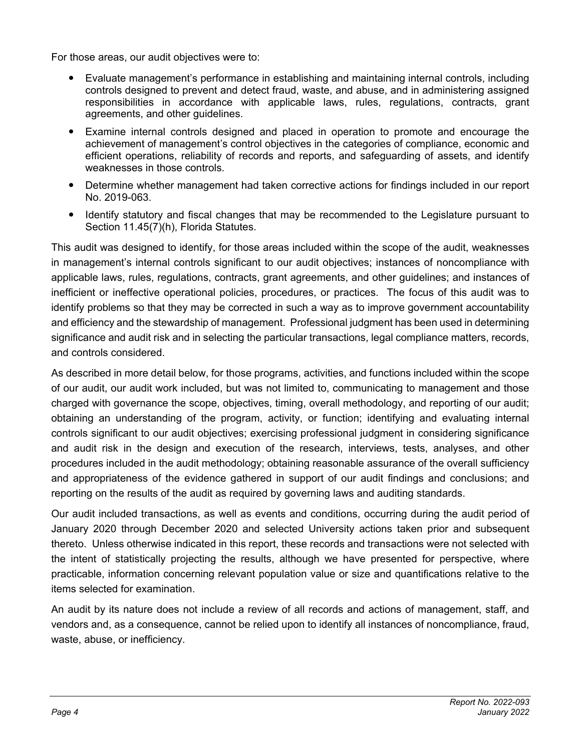For those areas, our audit objectives were to:

- Evaluate management's performance in establishing and maintaining internal controls, including controls designed to prevent and detect fraud, waste, and abuse, and in administering assigned responsibilities in accordance with applicable laws, rules, regulations, contracts, grant agreements, and other guidelines.
- Examine internal controls designed and placed in operation to promote and encourage the achievement of management's control objectives in the categories of compliance, economic and efficient operations, reliability of records and reports, and safeguarding of assets, and identify weaknesses in those controls.
- Determine whether management had taken corrective actions for findings included in our report No. 2019-063.
- Identify statutory and fiscal changes that may be recommended to the Legislature pursuant to Section 11.45(7)(h), Florida Statutes.

This audit was designed to identify, for those areas included within the scope of the audit, weaknesses in management's internal controls significant to our audit objectives; instances of noncompliance with applicable laws, rules, regulations, contracts, grant agreements, and other guidelines; and instances of inefficient or ineffective operational policies, procedures, or practices. The focus of this audit was to identify problems so that they may be corrected in such a way as to improve government accountability and efficiency and the stewardship of management. Professional judgment has been used in determining significance and audit risk and in selecting the particular transactions, legal compliance matters, records, and controls considered.

As described in more detail below, for those programs, activities, and functions included within the scope of our audit, our audit work included, but was not limited to, communicating to management and those charged with governance the scope, objectives, timing, overall methodology, and reporting of our audit; obtaining an understanding of the program, activity, or function; identifying and evaluating internal controls significant to our audit objectives; exercising professional judgment in considering significance and audit risk in the design and execution of the research, interviews, tests, analyses, and other procedures included in the audit methodology; obtaining reasonable assurance of the overall sufficiency and appropriateness of the evidence gathered in support of our audit findings and conclusions; and reporting on the results of the audit as required by governing laws and auditing standards.

Our audit included transactions, as well as events and conditions, occurring during the audit period of January 2020 through December 2020 and selected University actions taken prior and subsequent thereto. Unless otherwise indicated in this report, these records and transactions were not selected with the intent of statistically projecting the results, although we have presented for perspective, where practicable, information concerning relevant population value or size and quantifications relative to the items selected for examination.

An audit by its nature does not include a review of all records and actions of management, staff, and vendors and, as a consequence, cannot be relied upon to identify all instances of noncompliance, fraud, waste, abuse, or inefficiency.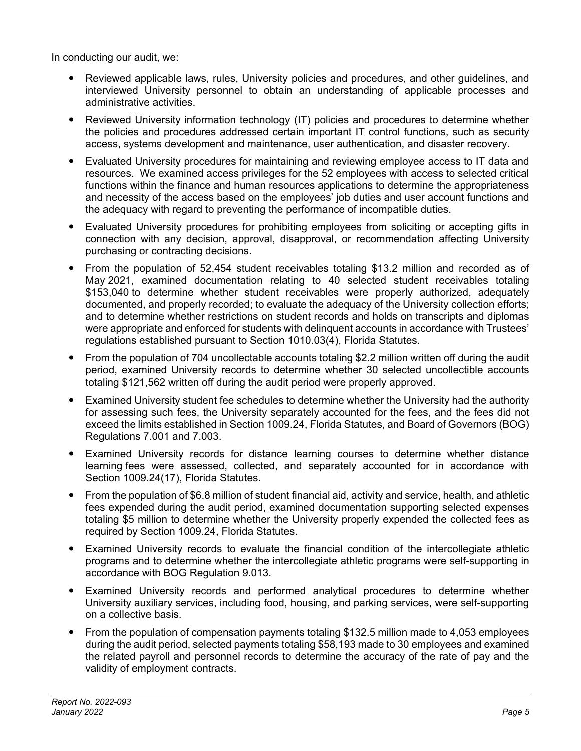In conducting our audit, we:

- Reviewed applicable laws, rules, University policies and procedures, and other guidelines, and interviewed University personnel to obtain an understanding of applicable processes and administrative activities.
- Reviewed University information technology (IT) policies and procedures to determine whether the policies and procedures addressed certain important IT control functions, such as security access, systems development and maintenance, user authentication, and disaster recovery.
- Evaluated University procedures for maintaining and reviewing employee access to IT data and resources. We examined access privileges for the 52 employees with access to selected critical functions within the finance and human resources applications to determine the appropriateness and necessity of the access based on the employees' job duties and user account functions and the adequacy with regard to preventing the performance of incompatible duties.
- Evaluated University procedures for prohibiting employees from soliciting or accepting gifts in connection with any decision, approval, disapproval, or recommendation affecting University purchasing or contracting decisions.
- From the population of 52,454 student receivables totaling \$13.2 million and recorded as of May 2021, examined documentation relating to 40 selected student receivables totaling \$153,040 to determine whether student receivables were properly authorized, adequately documented, and properly recorded; to evaluate the adequacy of the University collection efforts; and to determine whether restrictions on student records and holds on transcripts and diplomas were appropriate and enforced for students with delinquent accounts in accordance with Trustees' regulations established pursuant to Section 1010.03(4), Florida Statutes.
- From the population of 704 uncollectable accounts totaling \$2.2 million written off during the audit period, examined University records to determine whether 30 selected uncollectible accounts totaling \$121,562 written off during the audit period were properly approved.
- Examined University student fee schedules to determine whether the University had the authority for assessing such fees, the University separately accounted for the fees, and the fees did not exceed the limits established in Section 1009.24, Florida Statutes, and Board of Governors (BOG) Regulations 7.001 and 7.003.
- Examined University records for distance learning courses to determine whether distance learning fees were assessed, collected, and separately accounted for in accordance with Section 1009.24(17), Florida Statutes.
- From the population of \$6.8 million of student financial aid, activity and service, health, and athletic fees expended during the audit period, examined documentation supporting selected expenses totaling \$5 million to determine whether the University properly expended the collected fees as required by Section 1009.24, Florida Statutes.
- Examined University records to evaluate the financial condition of the intercollegiate athletic programs and to determine whether the intercollegiate athletic programs were self-supporting in accordance with BOG Regulation 9.013.
- Examined University records and performed analytical procedures to determine whether University auxiliary services, including food, housing, and parking services, were self-supporting on a collective basis.
- From the population of compensation payments totaling \$132.5 million made to 4,053 employees during the audit period, selected payments totaling \$58,193 made to 30 employees and examined the related payroll and personnel records to determine the accuracy of the rate of pay and the validity of employment contracts.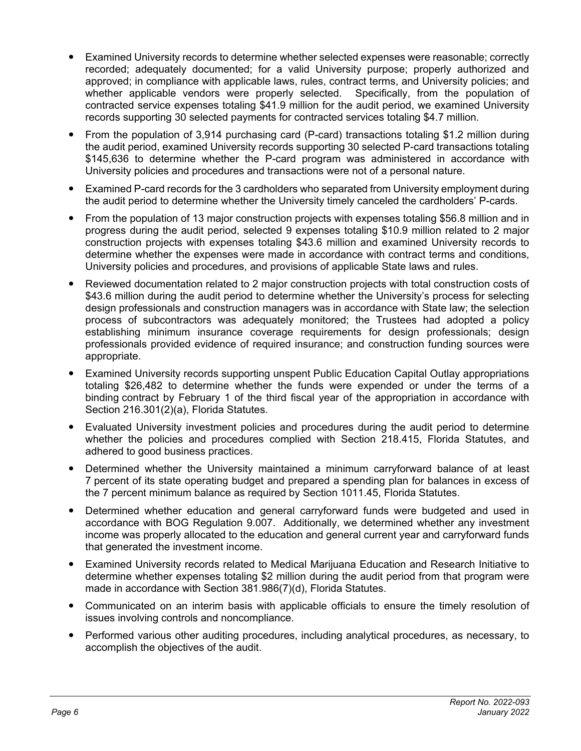- Examined University records to determine whether selected expenses were reasonable; correctly recorded; adequately documented; for a valid University purpose; properly authorized and approved; in compliance with applicable laws, rules, contract terms, and University policies; and whether applicable vendors were properly selected. Specifically, from the population of contracted service expenses totaling \$41.9 million for the audit period, we examined University records supporting 30 selected payments for contracted services totaling \$4.7 million.
- From the population of 3,914 purchasing card (P-card) transactions totaling \$1.2 million during the audit period, examined University records supporting 30 selected P-card transactions totaling \$145,636 to determine whether the P-card program was administered in accordance with University policies and procedures and transactions were not of a personal nature.
- Examined P-card records for the 3 cardholders who separated from University employment during the audit period to determine whether the University timely canceled the cardholders' P-cards.
- From the population of 13 major construction projects with expenses totaling \$56.8 million and in progress during the audit period, selected 9 expenses totaling \$10.9 million related to 2 major construction projects with expenses totaling \$43.6 million and examined University records to determine whether the expenses were made in accordance with contract terms and conditions, University policies and procedures, and provisions of applicable State laws and rules.
- Reviewed documentation related to 2 major construction projects with total construction costs of \$43.6 million during the audit period to determine whether the University's process for selecting design professionals and construction managers was in accordance with State law; the selection process of subcontractors was adequately monitored; the Trustees had adopted a policy establishing minimum insurance coverage requirements for design professionals; design professionals provided evidence of required insurance; and construction funding sources were appropriate.
- Examined University records supporting unspent Public Education Capital Outlay appropriations totaling \$26,482 to determine whether the funds were expended or under the terms of a binding contract by February 1 of the third fiscal year of the appropriation in accordance with Section 216.301(2)(a), Florida Statutes.
- Evaluated University investment policies and procedures during the audit period to determine whether the policies and procedures complied with Section 218.415, Florida Statutes, and adhered to good business practices.
- Determined whether the University maintained a minimum carryforward balance of at least 7 percent of its state operating budget and prepared a spending plan for balances in excess of the 7 percent minimum balance as required by Section 1011.45, Florida Statutes.
- Determined whether education and general carryforward funds were budgeted and used in accordance with BOG Regulation 9.007. Additionally, we determined whether any investment income was properly allocated to the education and general current year and carryforward funds that generated the investment income.
- Examined University records related to Medical Marijuana Education and Research Initiative to determine whether expenses totaling \$2 million during the audit period from that program were made in accordance with Section 381.986(7)(d), Florida Statutes.
- Communicated on an interim basis with applicable officials to ensure the timely resolution of issues involving controls and noncompliance.
- Performed various other auditing procedures, including analytical procedures, as necessary, to accomplish the objectives of the audit.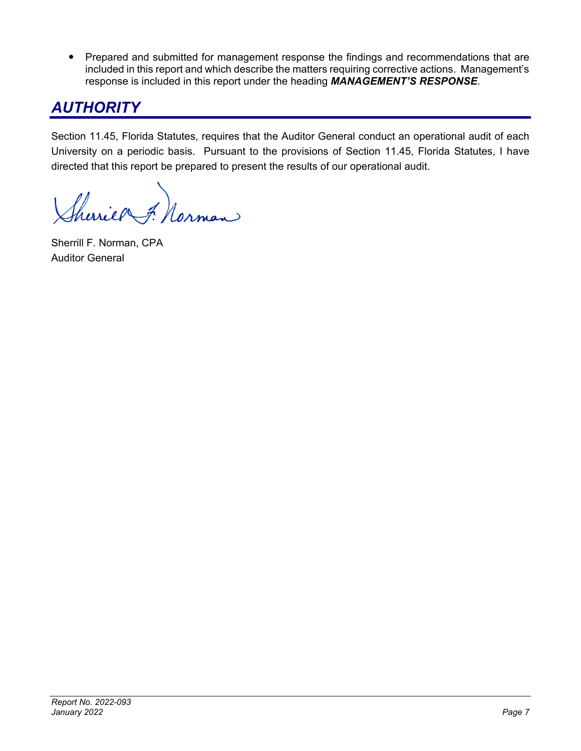• Prepared and submitted for management response the findings and recommendations that are included in this report and which describe the matters requiring corrective actions. Management's response is included in this report under the heading *MANAGEMENT'S RESPONSE*.

## *AUTHORITY*

Section 11.45, Florida Statutes, requires that the Auditor General conduct an operational audit of each University on a periodic basis. Pursuant to the provisions of Section 11.45, Florida Statutes, I have directed that this report be prepared to present the results of our operational audit.

herriel F. Norman

Sherrill F. Norman, CPA Auditor General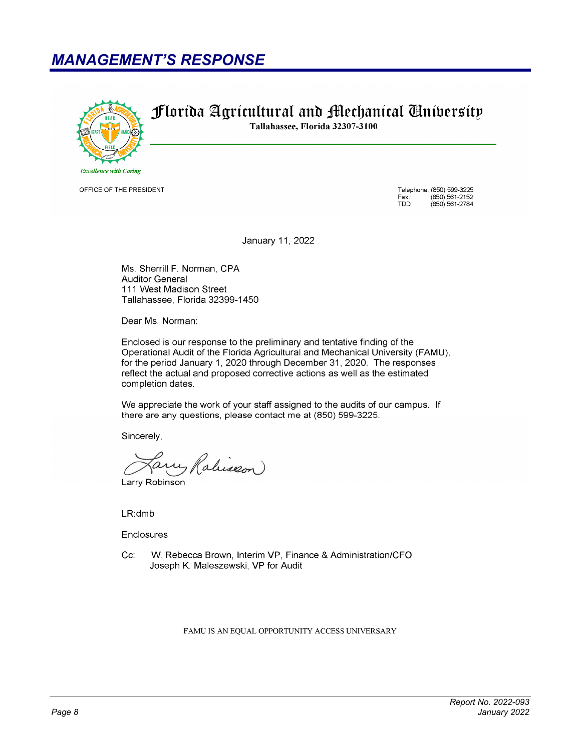### **MANAGEMENT'S RESPONSE**



OFFICE OF THE PRESIDENT

Telephone: (850) 599-3225 Fax:<br>TDD: (850) 561-2152<br>(850) 561-2784

January 11, 2022

Florida Agrícultural and Mechanical Gnibersity

Tallahassee, Florida 32307-3100

Ms. Sherrill F. Norman, CPA **Auditor General** 111 West Madison Street Tallahassee, Florida 32399-1450

Dear Ms. Norman:

Enclosed is our response to the preliminary and tentative finding of the Operational Audit of the Florida Agricultural and Mechanical University (FAMU), for the period January 1, 2020 through December 31, 2020. The responses reflect the actual and proposed corrective actions as well as the estimated completion dates.

We appreciate the work of your staff assigned to the audits of our campus. If there are any questions, please contact me at (850) 599-3225.

Sincerely,

Ralisson Larry Robinson

 $LR:dmb$ 

Enclosures

Cc: W. Rebecca Brown, Interim VP, Finance & Administration/CFO Joseph K. Maleszewski, VP for Audit

FAMU IS AN EQUAL OPPORTUNITY ACCESS UNIVERSARY